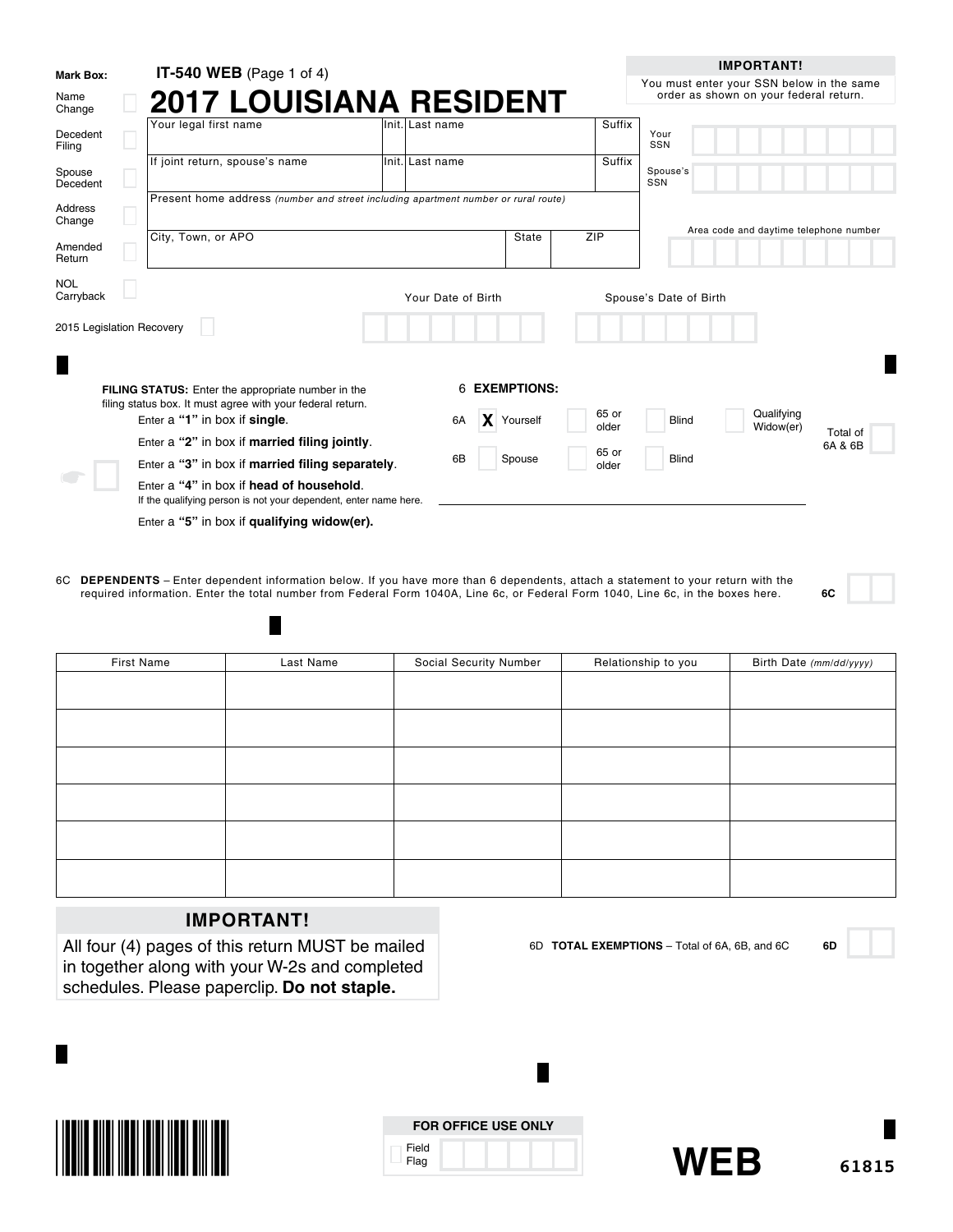| <b>Mark Box:</b>          | <b>IT-540 WEB</b> (Page 1 of 4)                                                                                  |                    |               |     |                | <b>IMPORTANT!</b>                                                                   |
|---------------------------|------------------------------------------------------------------------------------------------------------------|--------------------|---------------|-----|----------------|-------------------------------------------------------------------------------------|
| Name<br>Change            | <b>2017 LOUISIANA RESIDENT</b>                                                                                   |                    |               |     |                | You must enter your SSN below in the same<br>order as shown on your federal return. |
| Decedent<br>Filing        | Your legal first name                                                                                            | lInit. Last name   |               |     | Suffix         | Your<br>SSN                                                                         |
| Spouse<br>Decedent        | If joint return, spouse's name                                                                                   | Init. Last name    |               |     | Suffix         | Spouse's<br>SSN                                                                     |
| Address<br>Change         | Present home address (number and street including apartment number or rural route)                               |                    |               |     |                | Area code and daytime telephone number                                              |
| Amended<br>Return         | City, Town, or APO                                                                                               |                    | State         | ZIP |                |                                                                                     |
| <b>NOL</b><br>Carryback   |                                                                                                                  | Your Date of Birth |               |     |                | Spouse's Date of Birth                                                              |
| 2015 Legislation Recovery |                                                                                                                  |                    |               |     |                |                                                                                     |
|                           |                                                                                                                  |                    |               |     |                |                                                                                     |
|                           | FILING STATUS: Enter the appropriate number in the<br>filing status box. It must agree with your federal return. |                    | 6 EXEMPTIONS: |     |                |                                                                                     |
|                           | Enter a "1" in box if single.                                                                                    | 6A                 | X Yourself    |     | 65 or<br>older | Qualifying<br><b>Blind</b><br>Widow(er)                                             |
|                           | Enter a "2" in box if married filing jointly.                                                                    |                    |               |     |                | Total of<br>6A & 6B                                                                 |
|                           | Enter a "3" in box if married filing separately.                                                                 | 6B                 | Spouse        |     | 65 or<br>older | <b>Blind</b>                                                                        |
|                           | Enter a "4" in box if head of household.<br>If the qualifying person is not your dependent, enter name here.     |                    |               |     |                |                                                                                     |
|                           | Enter a "5" in box if qualifying widow(er).                                                                      |                    |               |     |                |                                                                                     |

6C **DEPENDENTS** – Enter dependent information below. If you have more than 6 dependents, attach a statement to your return with the required information. Enter the total number from Federal Form 1040A, Line 6c, or Federal Form 1040, Line 6c, in the boxes here. **6C**

| First Name | Last Name | Social Security Number | Relationship to you | Birth Date (mm/dd/yyyy) |
|------------|-----------|------------------------|---------------------|-------------------------|
|            |           |                        |                     |                         |
|            |           |                        |                     |                         |
|            |           |                        |                     |                         |
|            |           |                        |                     |                         |
|            |           |                        |                     |                         |
|            |           |                        |                     |                         |
|            |           |                        |                     |                         |
|            |           |                        |                     |                         |
|            |           |                        |                     |                         |
|            |           |                        |                     |                         |
|            |           |                        |                     |                         |
|            |           |                        |                     |                         |

# **IMPORTANT!**

ш

All four (4) pages of this return MUST be mailed in together along with your W-2s and completed schedules. Please paperclip. **Do not staple.**



|               | <b>FOR OFFICE USE ONLY</b> |
|---------------|----------------------------|
| Field<br>Flag |                            |

Ш



6D **TOTAL EXEMPTIONS** – Total of 6A, 6B, and 6C **6D**

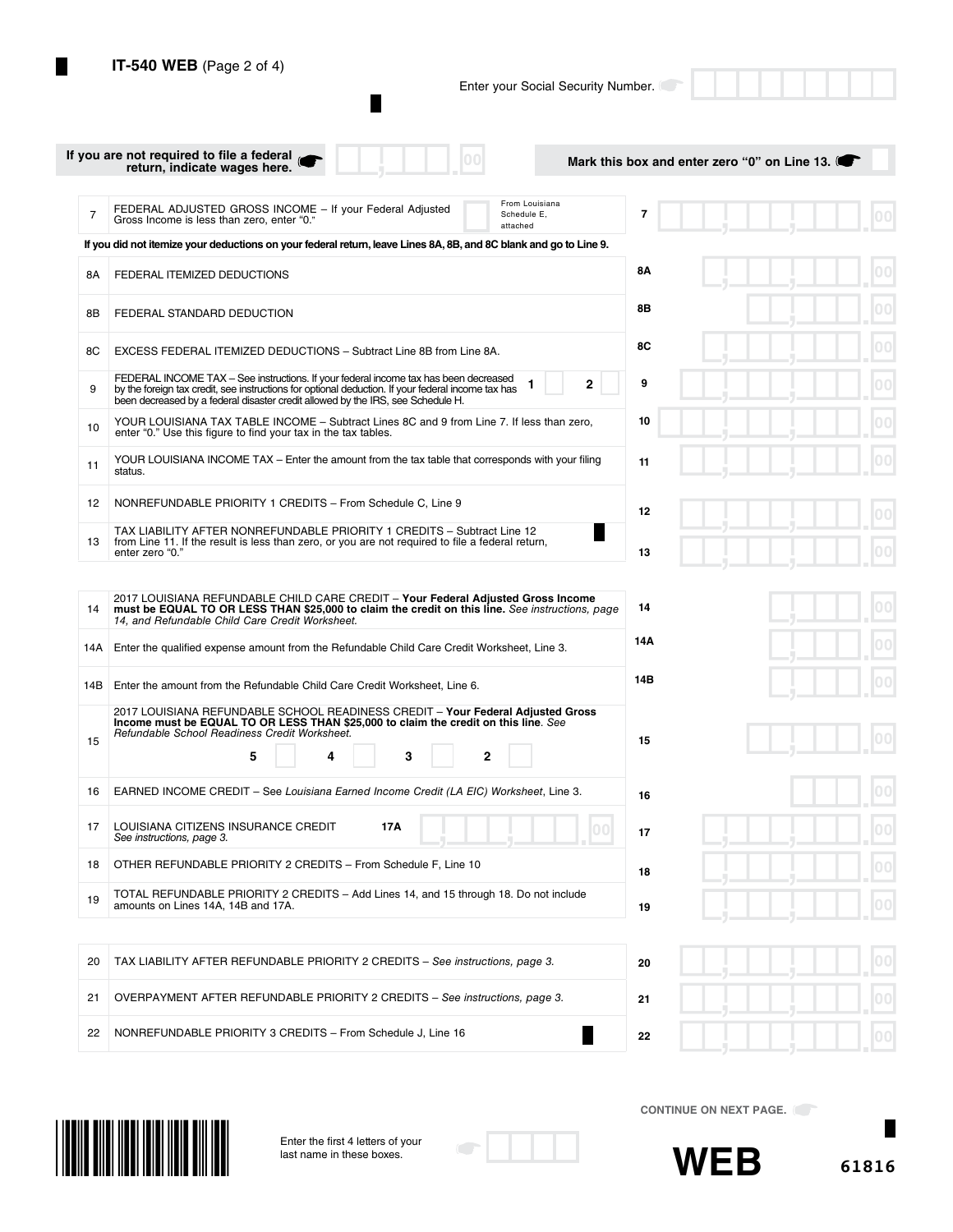I.

Enter your Social Security Number.

|     | If you are not required to file a federal<br>return, indicate wages here.                                                                                                                                                                                                     | Mark this box and enter zero "0" on Line 13. |              |
|-----|-------------------------------------------------------------------------------------------------------------------------------------------------------------------------------------------------------------------------------------------------------------------------------|----------------------------------------------|--------------|
| 7   | From Louisiana<br>FEDERAL ADJUSTED GROSS INCOME - If your Federal Adjusted<br>Schedule E,<br>Gross Income is less than zero, enter "0."<br>attached                                                                                                                           | 7                                            |              |
|     | If you did not itemize your deductions on your federal return, leave Lines 8A, 8B, and 8C blank and go to Line 9.                                                                                                                                                             |                                              |              |
| 8Α  | FEDERAL ITEMIZED DEDUCTIONS                                                                                                                                                                                                                                                   | 8Α                                           |              |
| 8B  | FEDERAL STANDARD DEDUCTION                                                                                                                                                                                                                                                    | 8Β                                           |              |
| 8C  | EXCESS FEDERAL ITEMIZED DEDUCTIONS - Subtract Line 8B from Line 8A.                                                                                                                                                                                                           | 8C                                           | 00           |
| 9   | FEDERAL INCOME TAX - See instructions. If your federal income tax has been decreased<br>by the foreign tax credit, see instructions for optional deduction. If your federal income tax has<br>been decreased by a federal disaster credit allowed by the IRS, see Schedule H. | 9<br>2                                       | 00           |
| 10  | YOUR LOUISIANA TAX TABLE INCOME - Subtract Lines 8C and 9 from Line 7. If less than zero,<br>enter "0." Use this figure to find your tax in the tax tables.                                                                                                                   | 10                                           | 00           |
| 11  | YOUR LOUISIANA INCOME TAX – Enter the amount from the tax table that corresponds with your filing<br>status.                                                                                                                                                                  | 11                                           | 00           |
| 12  | NONREFUNDABLE PRIORITY 1 CREDITS - From Schedule C, Line 9                                                                                                                                                                                                                    | 12                                           |              |
| 13  | TAX LIABILITY AFTER NONREFUNDABLE PRIORITY 1 CREDITS - Subtract Line 12<br>from Line 11. If the result is less than zero, or you are not required to file a federal return,<br>enter zero "0."                                                                                | 13                                           |              |
|     |                                                                                                                                                                                                                                                                               |                                              |              |
| 14  | 2017 LOUISIANA REFUNDABLE CHILD CARE CREDIT - Your Federal Adjusted Gross Income<br>must be EQUAL TO OR LESS THAN \$25,000 to claim the credit on this line. See instructions, page<br>14, and Refundable Child Care Credit Worksheet.                                        | 14                                           | 00           |
| 14A | Enter the qualified expense amount from the Refundable Child Care Credit Worksheet, Line 3.                                                                                                                                                                                   | 14A                                          | 00           |
| 14B | Enter the amount from the Refundable Child Care Credit Worksheet, Line 6.                                                                                                                                                                                                     | 14B                                          | 00           |
| 15  | 2017 LOUISIANA REFUNDABLE SCHOOL READINESS CREDIT - Your Federal Adjusted Gross<br>Income must be EQUAL TO OR LESS THAN \$25,000 to claim the credit on this line. See<br>Refundable School Readiness Credit Worksheet.                                                       | 15                                           |              |
|     | 3<br>2<br>5                                                                                                                                                                                                                                                                   |                                              |              |
| 16  | EARNED INCOME CREDIT – See Louisiana Earned Income Credit (LA EIC) Worksheet, Line 3.                                                                                                                                                                                         | 16                                           | 00           |
| 17  | LOUISIANA CITIZENS INSURANCE CREDIT<br>17A<br>See instructions, page 3.                                                                                                                                                                                                       | $00 \,$<br>17                                | 00           |
| 18  | OTHER REFUNDABLE PRIORITY 2 CREDITS - From Schedule F, Line 10                                                                                                                                                                                                                | 18                                           | 00           |
| 19  | TOTAL REFUNDABLE PRIORITY 2 CREDITS - Add Lines 14, and 15 through 18. Do not include<br>amounts on Lines 14A, 14B and 17A.                                                                                                                                                   | 19                                           | $ 00\rangle$ |
|     |                                                                                                                                                                                                                                                                               |                                              |              |
| 20  | TAX LIABILITY AFTER REFUNDABLE PRIORITY 2 CREDITS - See instructions, page 3.                                                                                                                                                                                                 | 20                                           | 00           |
| 21  | OVERPAYMENT AFTER REFUNDABLE PRIORITY 2 CREDITS - See instructions, page 3.                                                                                                                                                                                                   | 21                                           | $ 00\rangle$ |
| 22  | NONREFUNDABLE PRIORITY 3 CREDITS - From Schedule J, Line 16                                                                                                                                                                                                                   | 22                                           | 00           |
|     |                                                                                                                                                                                                                                                                               |                                              |              |



Enter the first 4 letters of your last name in these boxes.



**CONTINUE ON NEXT PAGE.** 

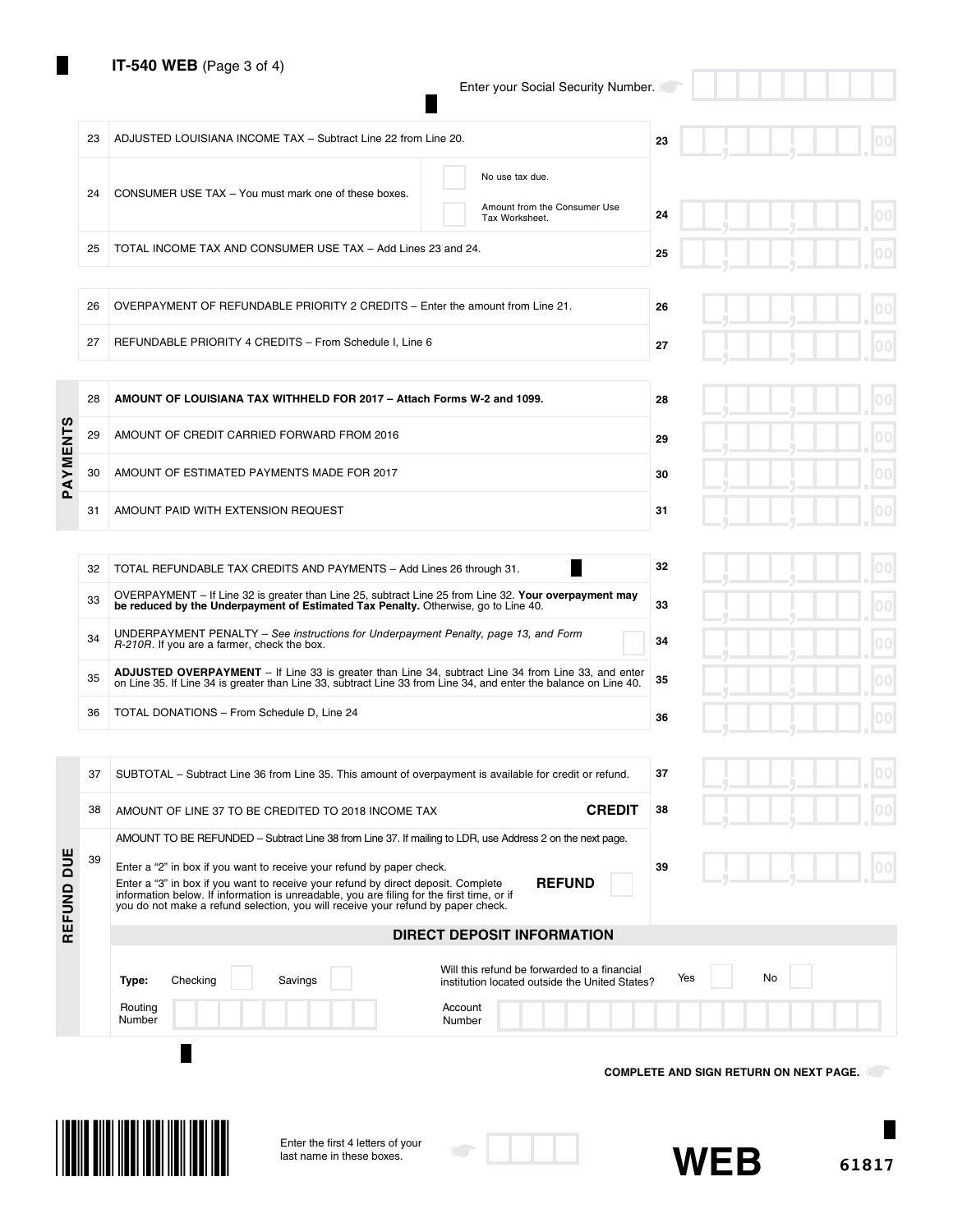Ш

Enter your Social Security Number.

 $\blacksquare$ 

|            | 23 | ADJUSTED LOUISIANA INCOME TAX - Subtract Line 22 from Line 20.                                                                                                                                                                                                                                                                                            | 23                                            |
|------------|----|-----------------------------------------------------------------------------------------------------------------------------------------------------------------------------------------------------------------------------------------------------------------------------------------------------------------------------------------------------------|-----------------------------------------------|
|            | 24 | No use tax due.<br>CONSUMER USE TAX - You must mark one of these boxes.<br>Amount from the Consumer Use<br>Tax Worksheet.                                                                                                                                                                                                                                 | 24                                            |
|            | 25 | TOTAL INCOME TAX AND CONSUMER USE TAX - Add Lines 23 and 24.                                                                                                                                                                                                                                                                                              | 25                                            |
|            |    |                                                                                                                                                                                                                                                                                                                                                           |                                               |
|            | 26 | OVERPAYMENT OF REFUNDABLE PRIORITY 2 CREDITS - Enter the amount from Line 21.                                                                                                                                                                                                                                                                             | 26                                            |
|            | 27 | REFUNDABLE PRIORITY 4 CREDITS - From Schedule I, Line 6                                                                                                                                                                                                                                                                                                   | 27                                            |
|            | 28 | AMOUNT OF LOUISIANA TAX WITHHELD FOR 2017 - Attach Forms W-2 and 1099.                                                                                                                                                                                                                                                                                    | 00<br>28                                      |
|            | 29 | AMOUNT OF CREDIT CARRIED FORWARD FROM 2016                                                                                                                                                                                                                                                                                                                | ОC<br>29                                      |
| PAYMENTS   | 30 | AMOUNT OF ESTIMATED PAYMENTS MADE FOR 2017                                                                                                                                                                                                                                                                                                                | 00<br>30                                      |
|            | 31 | AMOUNT PAID WITH EXTENSION REQUEST                                                                                                                                                                                                                                                                                                                        | 31                                            |
|            |    |                                                                                                                                                                                                                                                                                                                                                           |                                               |
|            | 32 | TOTAL REFUNDABLE TAX CREDITS AND PAYMENTS - Add Lines 26 through 31.                                                                                                                                                                                                                                                                                      | 32<br>00                                      |
|            | 33 | OVERPAYMENT - If Line 32 is greater than Line 25, subtract Line 25 from Line 32. Your overpayment may<br>be reduced by the Underpayment of Estimated Tax Penalty. Otherwise, go to Line 40.                                                                                                                                                               | 33                                            |
|            | 34 | UNDERPAYMENT PENALTY - See instructions for Underpayment Penalty, page 13, and Form<br>R-210R. If you are a farmer, check the box.                                                                                                                                                                                                                        | 34                                            |
|            | 35 | ADJUSTED OVERPAYMENT - If Line 33 is greater than Line 34, subtract Line 34 from Line 33, and enter<br>on Line 35. If Line 34 is greater than Line 33, subtract Line 33 from Line 34, and enter the balance on Line 40.                                                                                                                                   | 35                                            |
|            | 36 | TOTAL DONATIONS - From Schedule D, Line 24                                                                                                                                                                                                                                                                                                                | 36                                            |
|            |    |                                                                                                                                                                                                                                                                                                                                                           |                                               |
|            | 37 | SUBTOTAL - Subtract Line 36 from Line 35. This amount of overpayment is available for credit or refund.                                                                                                                                                                                                                                                   | 37                                            |
|            | 38 | <b>CREDIT</b><br>AMOUNT OF LINE 37 TO BE CREDITED TO 2018 INCOME TAX                                                                                                                                                                                                                                                                                      | 38                                            |
|            |    | AMOUNT TO BE REFUNDED - Subtract Line 38 from Line 37. If mailing to LDR, use Address 2 on the next page.                                                                                                                                                                                                                                                 |                                               |
| REFUND DUE | 39 | Enter a "2" in box if you want to receive your refund by paper check.<br><b>REFUND</b><br>Enter a "3" in box if you want to receive your refund by direct deposit. Complete<br>information below. If information is unreadable, you are filing for the first time, or if you do not make a refund selection, you will receive your refund by paper check. | 39                                            |
|            |    | <b>DIRECT DEPOSIT INFORMATION</b>                                                                                                                                                                                                                                                                                                                         |                                               |
|            |    | Will this refund be forwarded to a financial<br>Savings<br>Type:<br>Checking<br>institution located outside the United States?                                                                                                                                                                                                                            | No<br>Yes                                     |
|            |    | Routing<br>Account<br>Number<br>Number                                                                                                                                                                                                                                                                                                                    |                                               |
|            |    |                                                                                                                                                                                                                                                                                                                                                           |                                               |
|            |    |                                                                                                                                                                                                                                                                                                                                                           | <b>COMPLETE AND SIGN RETURN ON NEXT PAGE.</b> |
|            |    |                                                                                                                                                                                                                                                                                                                                                           |                                               |
|            |    | Enter the first 4 letters of your                                                                                                                                                                                                                                                                                                                         |                                               |
|            |    | last name in these boxes.                                                                                                                                                                                                                                                                                                                                 | <b>WEB</b><br>61817                           |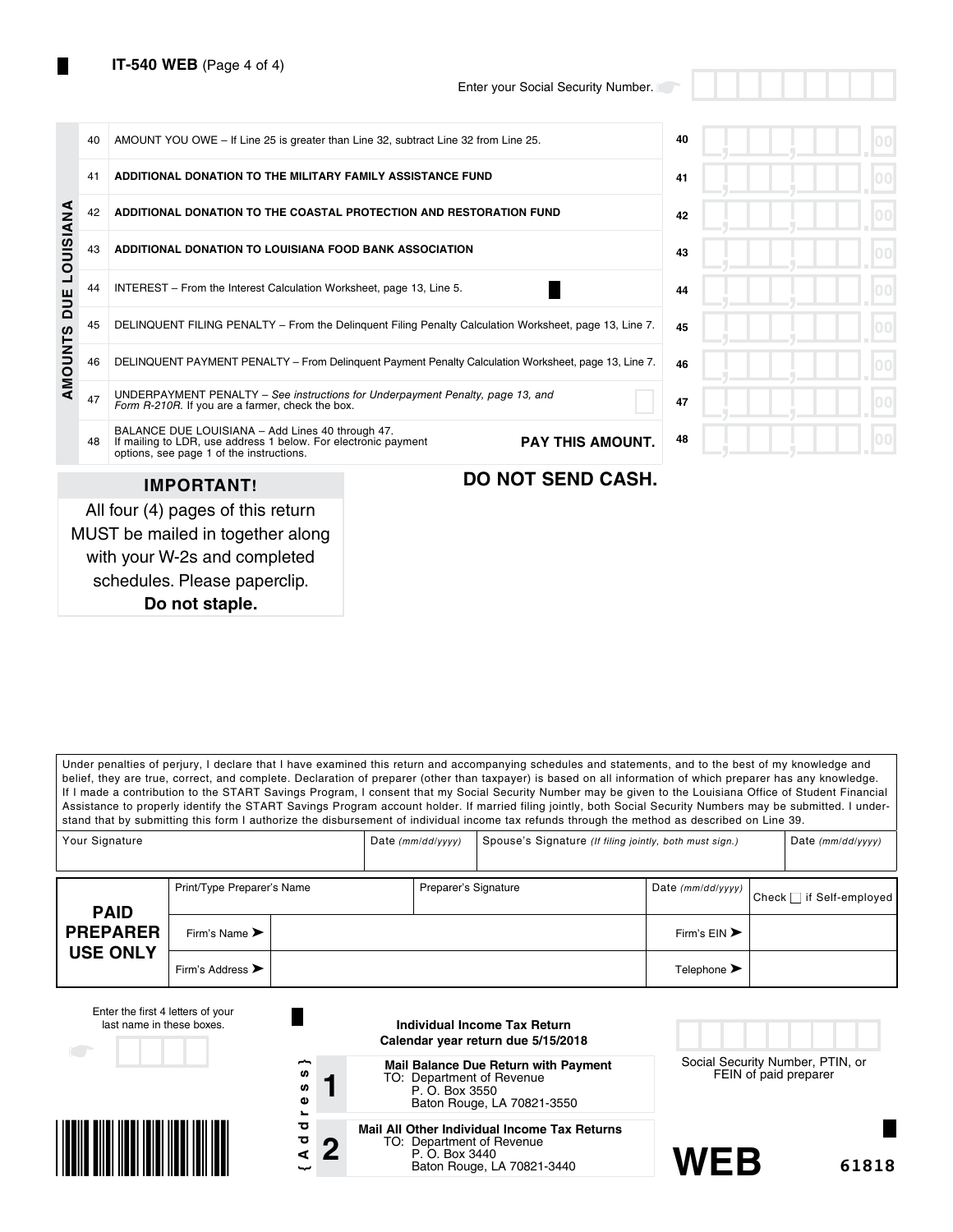|                  | 40 | AMOUNT YOU OWE – If Line 25 is greater than Line 32, subtract Line 32 from Line 25.                                                                            |                          |                         | 40 |  |
|------------------|----|----------------------------------------------------------------------------------------------------------------------------------------------------------------|--------------------------|-------------------------|----|--|
|                  | 41 | ADDITIONAL DONATION TO THE MILITARY FAMILY ASSISTANCE FUND                                                                                                     |                          | 41                      |    |  |
|                  | 42 | ADDITIONAL DONATION TO THE COASTAL PROTECTION AND RESTORATION FUND                                                                                             |                          | 42                      |    |  |
| <b>LOUISIANA</b> | 43 | ADDITIONAL DONATION TO LOUISIANA FOOD BANK ASSOCIATION                                                                                                         |                          |                         | 43 |  |
| DUE              | 44 | INTEREST – From the Interest Calculation Worksheet, page 13, Line 5.                                                                                           |                          | 44                      |    |  |
|                  | 45 | DELINQUENT FILING PENALTY - From the Delinguent Filing Penalty Calculation Worksheet, page 13, Line 7.                                                         |                          | 45                      |    |  |
| <b>AMOUNTS</b>   | 46 | DELINQUENT PAYMENT PENALTY - From Delinguent Payment Penalty Calculation Worksheet, page 13, Line 7.                                                           | 46                       |                         |    |  |
|                  | 47 | UNDERPAYMENT PENALTY – See instructions for Underpayment Penalty, page 13, and<br>Form R-210R. If you are a farmer, check the box.                             |                          | 47                      |    |  |
|                  | 48 | BALANCE DUE LOUISIANA - Add Lines 40 through 47.<br>If mailing to LDR, use address 1 below. For electronic payment<br>options, see page 1 of the instructions. |                          | <b>PAY THIS AMOUNT.</b> | 48 |  |
|                  |    | <b>IMPORTANT!</b>                                                                                                                                              | <b>DO NOT SEND CASH.</b> |                         |    |  |
|                  |    | All four (4) pages of this return<br>MUST be mailed in together along                                                                                          |                          |                         |    |  |

schedules. Please paperclip. **Do not staple.**

with your W-2s and completed

Under penalties of perjury, I declare that I have examined this return and accompanying schedules and statements, and to the best of my knowledge and belief, they are true, correct, and complete. Declaration of preparer (other than taxpayer) is based on all information of which preparer has any knowledge. If I made a contribution to the START Savings Program, I consent that my Social Security Number may be given to the Louisiana Office of Student Financial Assistance to properly identify the START Savings Program account holder. If married filing jointly, both Social Security Numbers may be submitted. I understand that by submitting this form I authorize the disbursement of individual income tax refunds through the method as described on Line 39.

| Your Signature                 |                                      |  |  | Spouse's Signature (If filing jointly, both must sign.)<br>Date $(mm/dd/yyyy)$ |  |                                 |  | Date $(mm/dd/yyyy)$      |
|--------------------------------|--------------------------------------|--|--|--------------------------------------------------------------------------------|--|---------------------------------|--|--------------------------|
|                                | Print/Type Preparer's Name           |  |  | Preparer's Signature                                                           |  | Date (mm/dd/yyyy)               |  | Check □ if Self-employed |
| <b>PAID</b><br><b>PREPARER</b> | Firm's Name $\blacktriangleright$    |  |  |                                                                                |  | Firm's $EIN$                    |  |                          |
| <b>USE ONLY</b>                | Firm's Address $\blacktriangleright$ |  |  |                                                                                |  | Telephone $\blacktriangleright$ |  |                          |

| Enter the first 4 letters of your<br>last name in these boxes. |                                                               | Individual Income Tax Return<br>Calendar year return due 5/15/2018                                                        |                                                           |       |
|----------------------------------------------------------------|---------------------------------------------------------------|---------------------------------------------------------------------------------------------------------------------------|-----------------------------------------------------------|-------|
|                                                                | ∼<br>n,<br>w<br>$\mathbf{\omega}$<br>$\overline{\phantom{a}}$ | <b>Mail Balance Due Return with Payment</b><br>TO: Department of Revenue<br>P. O. Box 3550<br>Baton Rouge, LA 70821-3550  | Social Security Number, PTIN, or<br>FEIN of paid preparer |       |
|                                                                | ਹ<br>ਠ<br>n<br>⋖<br>ىب                                        | Mail All Other Individual Income Tax Returns<br>TO: Department of Revenue<br>P. O. Box 3440<br>Baton Rouge, LA 70821-3440 | WFR                                                       | 61818 |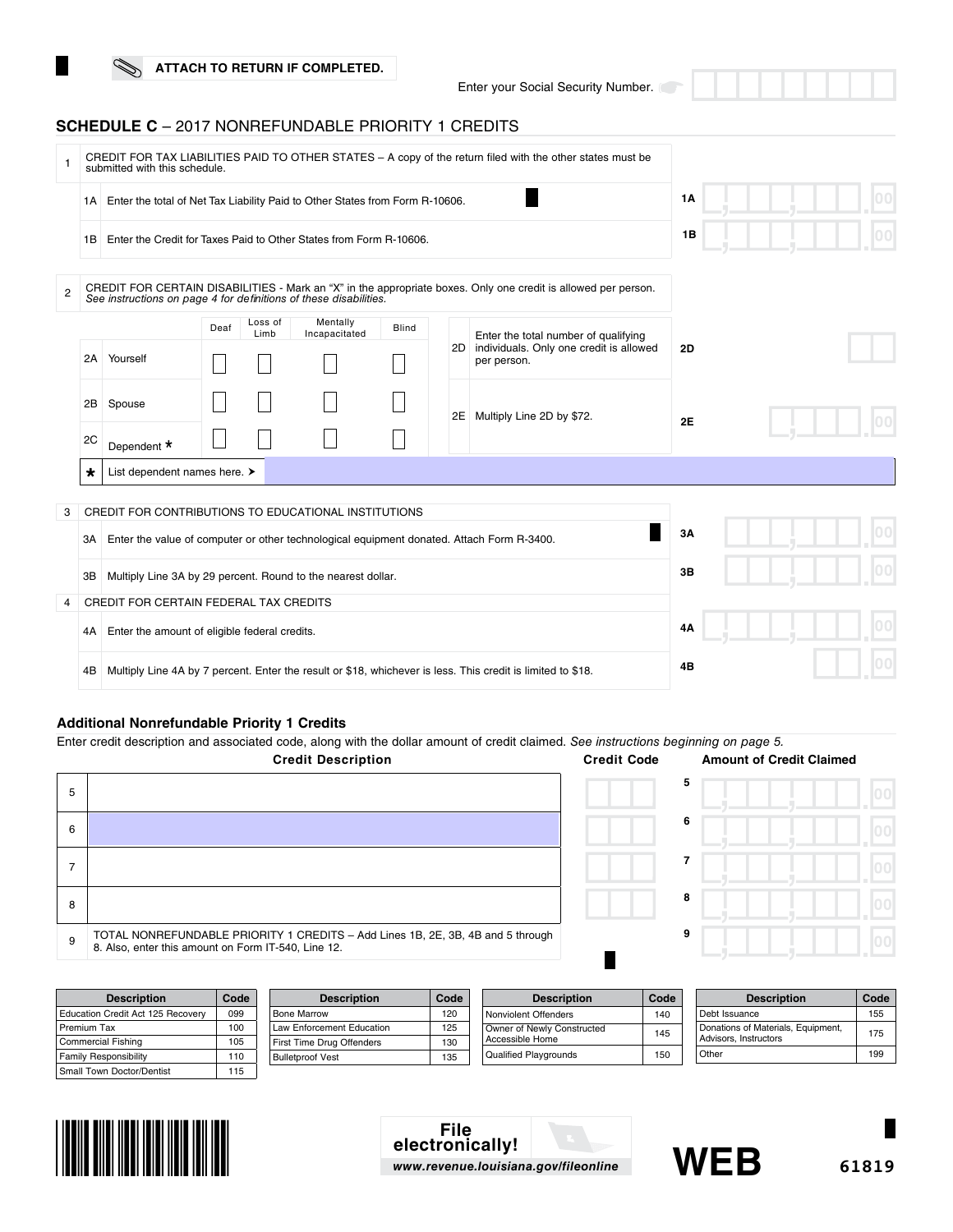Enter your Social Security Number.

## **SCHEDULE C** – 2017 NONREFUNDABLE PRIORITY 1 CREDITS

|                |                                                                    | submitted with this schedule.                                                                               |      | CREDIT FOR TAX LIABILITIES PAID TO OTHER STATES - A copy of the return filed with the other states must be |                           |              |    |                                                                                                                |           |  |  |
|----------------|--------------------------------------------------------------------|-------------------------------------------------------------------------------------------------------------|------|------------------------------------------------------------------------------------------------------------|---------------------------|--------------|----|----------------------------------------------------------------------------------------------------------------|-----------|--|--|
|                | 1A I                                                               | Enter the total of Net Tax Liability Paid to Other States from Form R-10606.                                |      |                                                                                                            |                           |              |    |                                                                                                                | <b>1A</b> |  |  |
|                | 1B                                                                 | Enter the Credit for Taxes Paid to Other States from Form R-10606.                                          |      |                                                                                                            |                           |              |    |                                                                                                                |           |  |  |
| $\overline{2}$ |                                                                    | See instructions on page 4 for definitions of these disabilities.                                           |      |                                                                                                            |                           |              |    | CREDIT FOR CERTAIN DISABILITIES - Mark an "X" in the appropriate boxes. Only one credit is allowed per person. |           |  |  |
|                | 2A                                                                 | Yourself                                                                                                    | Deaf | Loss of<br>Limb                                                                                            | Mentally<br>Incapacitated | <b>Blind</b> |    | Enter the total number of qualifying<br>2D individuals. Only one credit is allowed<br>per person.              | 2D        |  |  |
|                | 2B<br>2C                                                           | Spouse<br>Dependent *                                                                                       |      |                                                                                                            |                           |              |    | 2E Multiply Line 2D by \$72.                                                                                   | 2E        |  |  |
|                | $\star$                                                            | List dependent names here. >                                                                                |      |                                                                                                            |                           |              |    |                                                                                                                |           |  |  |
| 3              |                                                                    | CREDIT FOR CONTRIBUTIONS TO EDUCATIONAL INSTITUTIONS                                                        |      |                                                                                                            |                           |              |    |                                                                                                                |           |  |  |
|                | ЗА                                                                 | Enter the value of computer or other technological equipment donated. Attach Form R-3400.                   |      |                                                                                                            |                           |              |    |                                                                                                                | 3A        |  |  |
|                | Multiply Line 3A by 29 percent. Round to the nearest dollar.<br>ЗВ |                                                                                                             |      |                                                                                                            |                           |              | 3B |                                                                                                                |           |  |  |
| 4              |                                                                    | CREDIT FOR CERTAIN FEDERAL TAX CREDITS                                                                      |      |                                                                                                            |                           |              |    |                                                                                                                |           |  |  |
|                | 4A                                                                 | Enter the amount of eligible federal credits.                                                               |      |                                                                                                            |                           |              |    |                                                                                                                | 4Α        |  |  |
|                | 4B                                                                 | Multiply Line 4A by 7 percent. Enter the result or \$18, whichever is less. This credit is limited to \$18. |      |                                                                                                            |                           |              |    | 4Β                                                                                                             |           |  |  |

## **Additional Nonrefundable Priority 1 Credits**

Enter credit description and associated code, along with the dollar amount of credit claimed. *See instructions beginning on page 5.*

|   | <b>Credit Description</b>                                                                                                              | <b>Credit Code</b> | <b>Amount of Credit Claimed</b> |  |
|---|----------------------------------------------------------------------------------------------------------------------------------------|--------------------|---------------------------------|--|
| 5 |                                                                                                                                        |                    | 5                               |  |
| 6 |                                                                                                                                        |                    | 6                               |  |
|   |                                                                                                                                        |                    |                                 |  |
| 8 |                                                                                                                                        |                    | 8                               |  |
| 9 | TOTAL NONREFUNDABLE PRIORITY 1 CREDITS - Add Lines 1B, 2E, 3B, 4B and 5 through<br>8. Also, enter this amount on Form IT-540, Line 12. |                    | 9                               |  |

| <b>Description</b>                | Code | <b>Description</b>        | Code | <b>Description</b>           | Code | <b>Description</b>                 | Code |
|-----------------------------------|------|---------------------------|------|------------------------------|------|------------------------------------|------|
| Education Credit Act 125 Recovery | 099  | Bone Marrow               | 120  | Nonviolent Offenders         | 140  | Debt Issuance                      | 155  |
| Premium Tax                       | 100  | Law Enforcement Education | 125  | Owner of Newly Constructed   | 145  | Donations of Materials, Equipment, | 175  |
| Commercial Fishing                | 105  | First Time Drug Offenders | 130  | Accessible Home              |      | Advisors, Instructors              |      |
| <b>Family Responsibility</b>      | 110  | <b>Bulletproof Vest</b>   | 135  | <b>Qualified Playgrounds</b> | 150  | Other                              | 199  |
| Small Town Doctor/Dentist         | 115  |                           |      |                              |      |                                    |      |



**File electronically!** *www.revenue.louisiana.gov/fileonline*



**61819**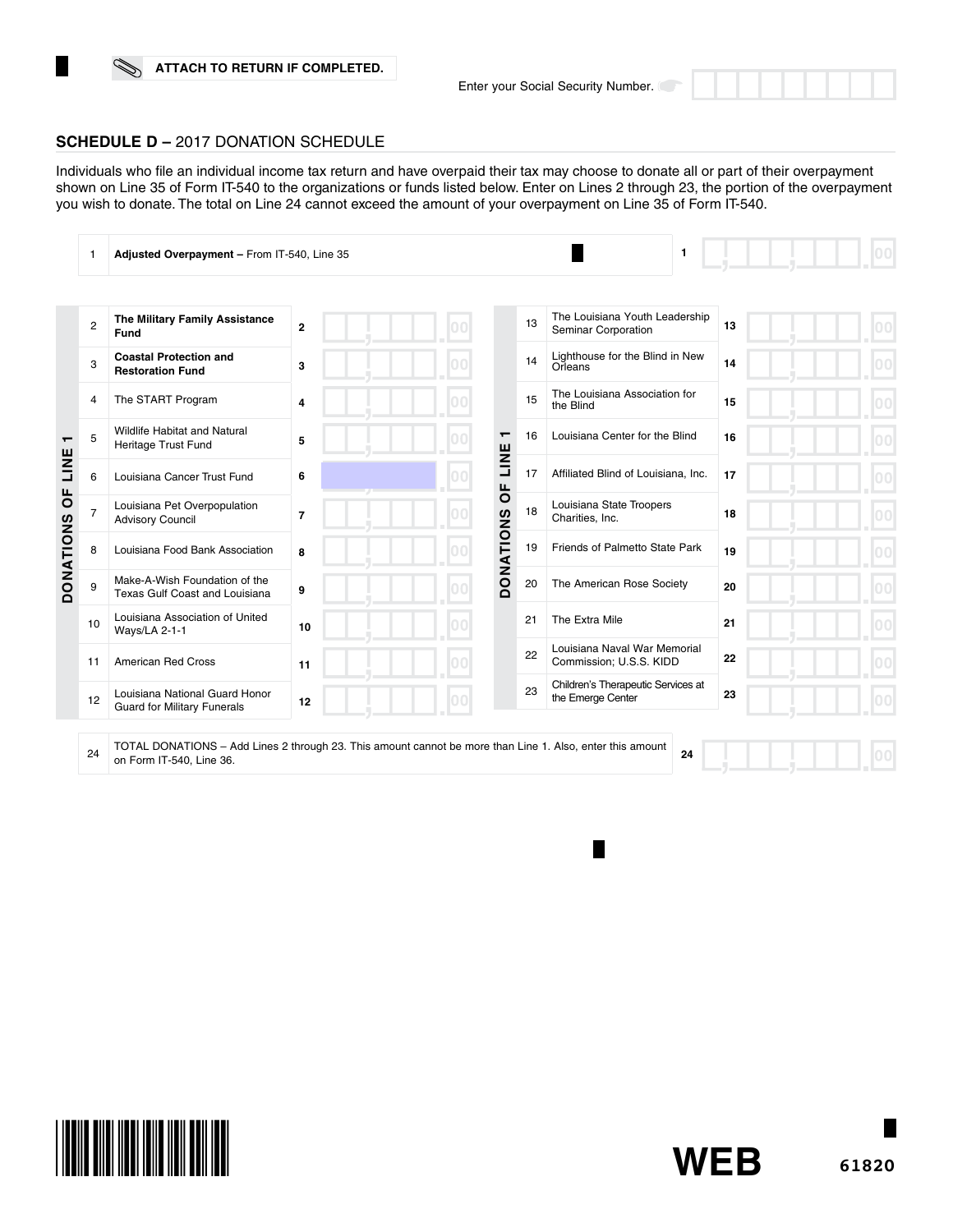## **SCHEDULE D –** 2017 DONATION SCHEDULE

Individuals who file an individual income tax return and have overpaid their tax may choose to donate all or part of their overpayment shown on Line 35 of Form IT-540 to the organizations or funds listed below. Enter on Lines 2 through 23, the portion of the overpayment you wish to donate. The total on Line 24 cannot exceed the amount of your overpayment on Line 35 of Form IT-540.

|                   |                | Adjusted Overpayment - From IT-540, Line 35                          |                |    |                        | $\mathbf{1}$                                            |    |  |
|-------------------|----------------|----------------------------------------------------------------------|----------------|----|------------------------|---------------------------------------------------------|----|--|
|                   |                |                                                                      |                |    |                        |                                                         |    |  |
|                   | $\overline{2}$ | The Military Family Assistance<br>Fund                               | $\overline{2}$ |    | 13                     | The Louisiana Youth Leadership<br>Seminar Corporation   | 13 |  |
|                   | 3              | <b>Coastal Protection and</b><br><b>Restoration Fund</b>             | 3              |    | 14                     | Lighthouse for the Blind in New<br>Orleans              | 14 |  |
|                   | 4              | The START Program                                                    | $\overline{4}$ |    | 15                     | The Louisiana Association for<br>the Blind              | 15 |  |
| $\mathbf$<br>LINE | 5              | <b>Wildlife Habitat and Natural</b><br>Heritage Trust Fund           | 5              |    | 16<br>┯                | Louisiana Center for the Blind                          | 16 |  |
|                   | 6              | Louisiana Cancer Trust Fund                                          | 6              |    | LINE<br>17             | Affiliated Blind of Louisiana, Inc.                     | 17 |  |
| $\overline{0}$    | 7              | Louisiana Pet Overpopulation<br><b>Advisory Council</b>              | $\overline{7}$ |    | Ъ<br>18                | Louisiana State Troopers<br>Charities, Inc.             | 18 |  |
| <b>DONATIONS</b>  | 8              | Louisiana Food Bank Association                                      | 8              |    | <b>DONATIONS</b><br>19 | Friends of Palmetto State Park                          | 19 |  |
|                   | 9              | Make-A-Wish Foundation of the<br>Texas Gulf Coast and Louisiana      | 9              |    | 20                     | The American Rose Society                               | 20 |  |
|                   | 10             | Louisiana Association of United<br>Ways/LA 2-1-1                     | 10             | nn | 21                     | The Extra Mile                                          | 21 |  |
|                   | 11             | <b>American Red Cross</b>                                            | 11             |    | 22                     | Louisiana Naval War Memorial<br>Commission; U.S.S. KIDD | 22 |  |
|                   | 12             | Louisiana National Guard Honor<br><b>Guard for Military Funerals</b> | 12             |    | 23                     | Children's Therapeutic Services at<br>the Emerge Center | 23 |  |
|                   |                |                                                                      |                |    |                        |                                                         |    |  |

24 TOTAL DONATIONS – Add Lines 2 through 23. This amount cannot be more than Line 1. Also, enter this amount on Form IT-540, Line 36. **24**



**WEB**

П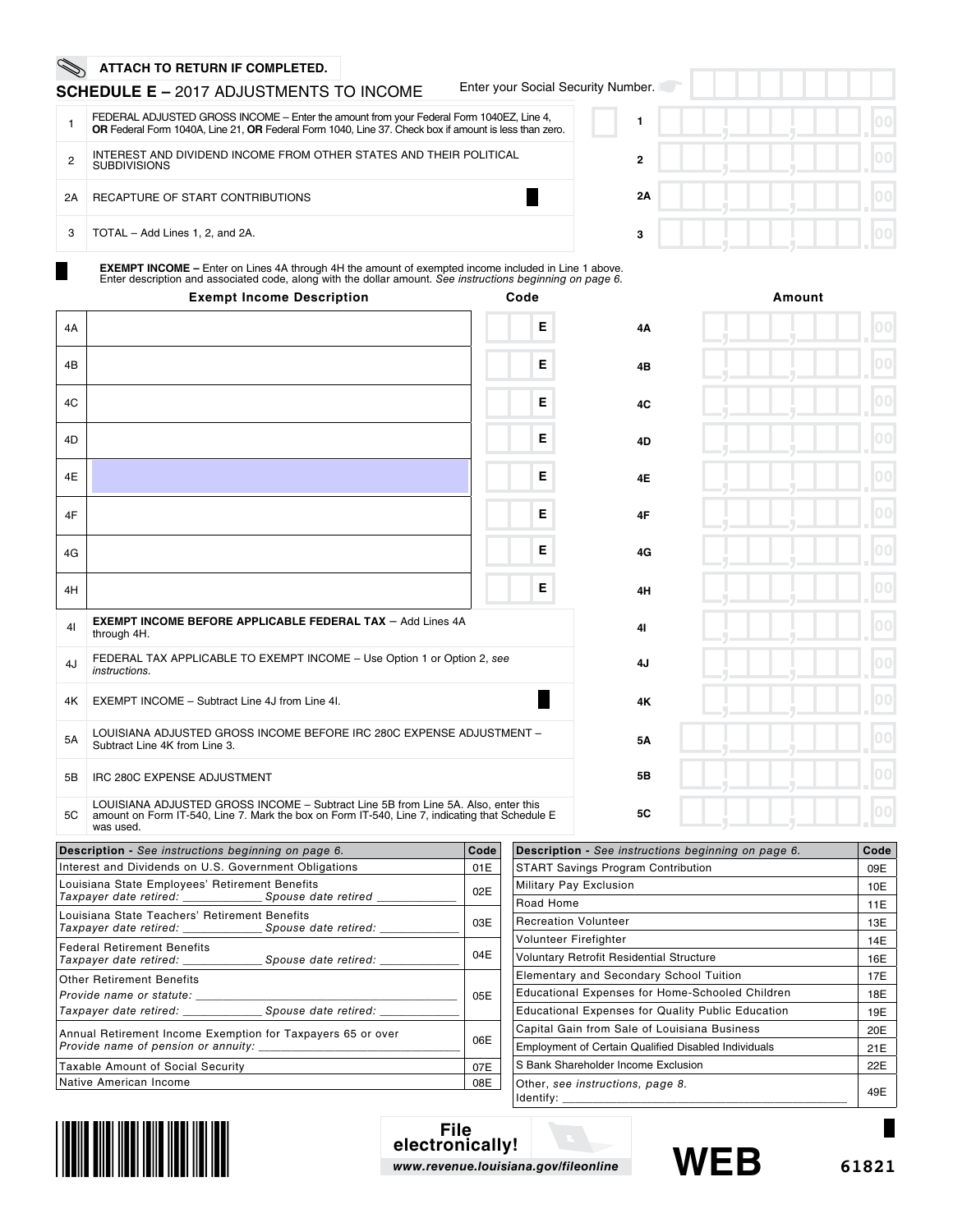## **SCHEDULE E –** 2017 ADJUSTMENTS TO INCOME

Enter your Social Security Number.

|    | FEDERAL ADJUSTED GROSS INCOME - Enter the amount from your Federal Form 1040EZ, Line 4,<br>OR Federal Form 1040A, Line 21, OR Federal Form 1040, Line 37. Check box if amount is less than zero. |
|----|--------------------------------------------------------------------------------------------------------------------------------------------------------------------------------------------------|
| 2  | INTEREST AND DIVIDEND INCOME FROM OTHER STATES AND THEIR POLITICAL<br><b>SUBDIVISIONS</b>                                                                                                        |
| 2A | RECAPTURE OF START CONTRIBUTIONS                                                                                                                                                                 |
| 3  | TOTAL - Add Lines 1, 2, and 2A.                                                                                                                                                                  |

| 1001.        |  |  |  |  |                |
|--------------|--|--|--|--|----------------|
|              |  |  |  |  | 0 <sub>0</sub> |
| $\mathbf{2}$ |  |  |  |  | O              |
| 2A           |  |  |  |  | $\bf{0}$       |
| 3            |  |  |  |  | $\mathbf 0$    |

**EXEMPT INCOME –** Enter on Lines 4A through 4H the amount of exempted income included in Line 1 above. Enter description and associated code, along with the dollar amount. *See instructions beginning on page 6.*

|    | <b>Exempt Income Description</b>                                                                                                                                                                 | Code |           | Amount |
|----|--------------------------------------------------------------------------------------------------------------------------------------------------------------------------------------------------|------|-----------|--------|
| 4A |                                                                                                                                                                                                  | E    | 4A        | 00     |
| 4B |                                                                                                                                                                                                  | E    | 4B        |        |
| 4C |                                                                                                                                                                                                  | E    | 4C        | 00     |
| 4D |                                                                                                                                                                                                  | Е    | 4D        | 00     |
| 4E |                                                                                                                                                                                                  | E    | 4E        | 00     |
| 4F |                                                                                                                                                                                                  | Е    | 4F        | 00     |
| 4G |                                                                                                                                                                                                  | E    | 4G        | 00     |
| 4H |                                                                                                                                                                                                  | E    | 4H        | 00     |
| 41 | <b>EXEMPT INCOME BEFORE APPLICABLE FEDERAL TAX - Add Lines 4A</b><br>through 4H.                                                                                                                 |      | 41        | 00     |
| 4J | FEDERAL TAX APPLICABLE TO EXEMPT INCOME - Use Option 1 or Option 2, see<br>instructions.                                                                                                         |      | 4J        | 00     |
| 4K | EXEMPT INCOME - Subtract Line 4J from Line 4I.                                                                                                                                                   |      | 4K        | 00     |
| 5A | LOUISIANA ADJUSTED GROSS INCOME BEFORE IRC 280C EXPENSE ADJUSTMENT -<br>Subtract Line 4K from Line 3.                                                                                            |      | 5Α        | 00     |
| 5B | IRC 280C EXPENSE ADJUSTMENT                                                                                                                                                                      |      | 5B        | 00     |
| 5C | LOUISIANA ADJUSTED GROSS INCOME - Subtract Line 5B from Line 5A. Also, enter this<br>amount on Form IT-540, Line 7. Mark the box on Form IT-540, Line 7, indicating that Schedule E<br>was used. |      | <b>5C</b> | 00     |

| <b>Description</b> - See instructions beginning on page 6.                                                                             | Code |  |  |  |
|----------------------------------------------------------------------------------------------------------------------------------------|------|--|--|--|
| Interest and Dividends on U.S. Government Obligations                                                                                  | 01E  |  |  |  |
| Louisiana State Employees' Retirement Benefits<br>Taxpayer date retired: ______________________ Spouse date retired _________          |      |  |  |  |
| Louisiana State Teachers' Retirement Benefits<br>Taxpayer date retired: ______________________________Spouse date retired: ___________ | 03E  |  |  |  |
| <b>Federal Retirement Benefits</b>                                                                                                     | 04E  |  |  |  |
| <b>Other Retirement Benefits</b><br>Provide name or statute:<br>Taxpayer date retired: Taxpayer Spouse date retired:                   | 05E  |  |  |  |
| Annual Retirement Income Exemption for Taxpayers 65 or over                                                                            | 06E  |  |  |  |
| <b>Taxable Amount of Social Security</b>                                                                                               | 07E  |  |  |  |
| Native American Income                                                                                                                 | 08E  |  |  |  |

| Description - See instructions beginning on page 6.      | Code |
|----------------------------------------------------------|------|
| <b>START Savings Program Contribution</b>                | 09E  |
| Military Pay Exclusion                                   | 10E  |
| Road Home                                                | 11E  |
| <b>Recreation Volunteer</b>                              | 13E  |
| Volunteer Firefighter                                    | 14E  |
| Voluntary Retrofit Residential Structure                 | 16E  |
| <b>Elementary and Secondary School Tuition</b>           | 17E  |
| <b>Educational Expenses for Home-Schooled Children</b>   | 18E  |
| <b>Educational Expenses for Quality Public Education</b> | 19E  |
| Capital Gain from Sale of Louisiana Business             | 20E  |
| Employment of Certain Qualified Disabled Individuals     | 21E  |
| S Bank Shareholder Income Exclusion                      | 22E  |
| Other, see instructions, page 8.<br>Identify:            | 49E  |



**File electronically!** *www.revenue.louisiana.gov/fileonline*



г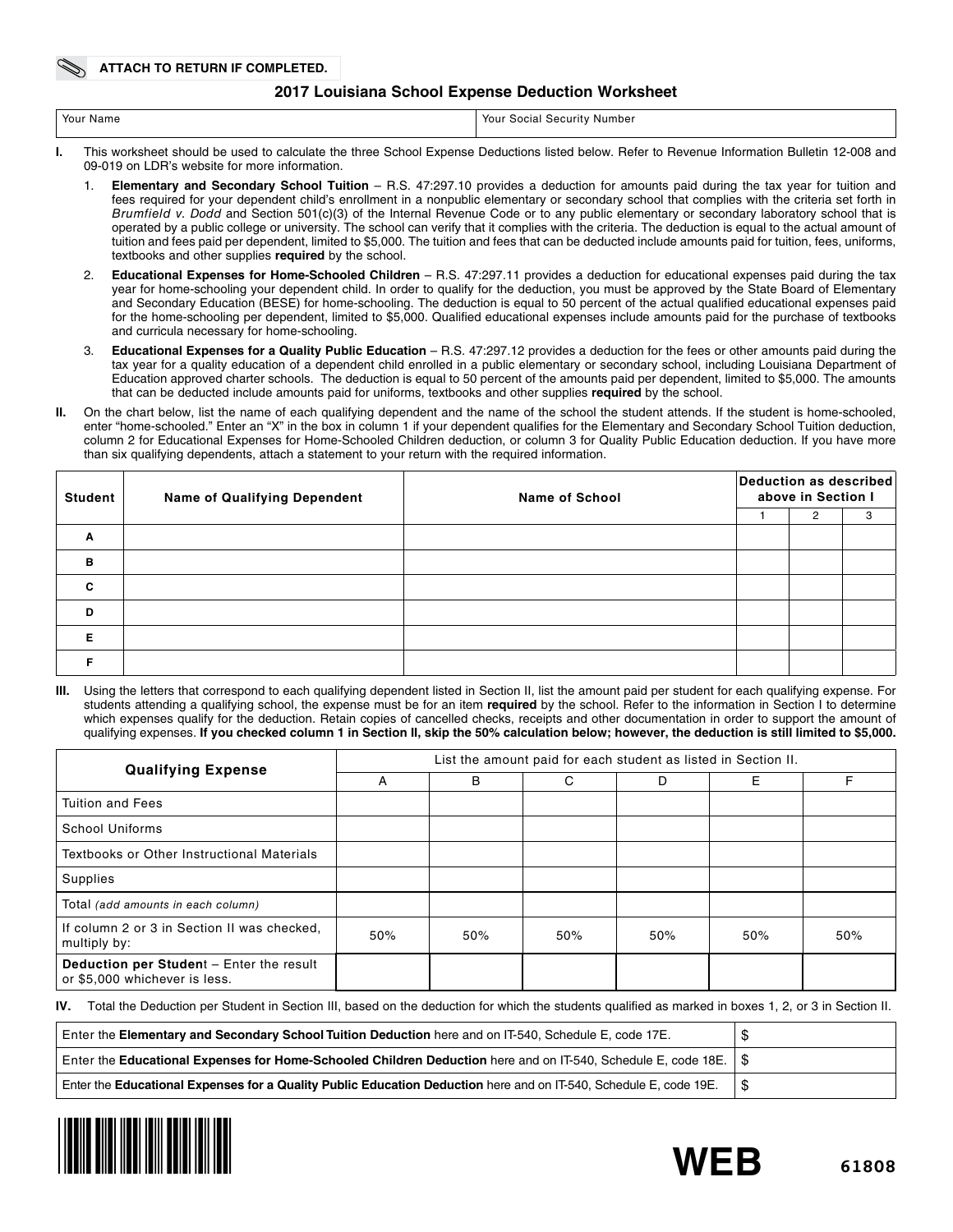## **2017 Louisiana School Expense Deduction Worksheet**

| Your Name | Your<br><sup>.</sup> Number<br>. Security<br>Social |
|-----------|-----------------------------------------------------|
|           |                                                     |

- **I.** This worksheet should be used to calculate the three School Expense Deductions listed below. Refer to Revenue Information Bulletin 12-008 and 09-019 on LDR's website for more information.
	- 1. **Elementary and Secondary School Tuition** R.S. 47:297.10 provides a deduction for amounts paid during the tax year for tuition and fees required for your dependent child's enrollment in a nonpublic elementary or secondary school that complies with the criteria set forth in *Brumfield v. Dodd* and Section 501(c)(3) of the Internal Revenue Code or to any public elementary or secondary laboratory school that is operated by a public college or university. The school can verify that it complies with the criteria. The deduction is equal to the actual amount of tuition and fees paid per dependent, limited to \$5,000. The tuition and fees that can be deducted include amounts paid for tuition, fees, uniforms, textbooks and other supplies **required** by the school.
	- 2. **Educational Expenses for Home-Schooled Children** R.S. 47:297.11 provides a deduction for educational expenses paid during the tax year for home-schooling your dependent child. In order to qualify for the deduction, you must be approved by the State Board of Elementary and Secondary Education (BESE) for home-schooling. The deduction is equal to 50 percent of the actual qualified educational expenses paid for the home-schooling per dependent, limited to \$5,000. Qualified educational expenses include amounts paid for the purchase of textbooks and curricula necessary for home-schooling.
	- 3. **Educational Expenses for a Quality Public Education** R.S. 47:297.12 provides a deduction for the fees or other amounts paid during the tax year for a quality education of a dependent child enrolled in a public elementary or secondary school, including Louisiana Department of Education approved charter schools. The deduction is equal to 50 percent of the amounts paid per dependent, limited to \$5,000. The amounts that can be deducted include amounts paid for uniforms, textbooks and other supplies **required** by the school.
- **II.** On the chart below, list the name of each qualifying dependent and the name of the school the student attends. If the student is home-schooled, enter "home-schooled." Enter an "X" in the box in column 1 if your dependent qualifies for the Elementary and Secondary School Tuition deduction, column 2 for Educational Expenses for Home-Schooled Children deduction, or column 3 for Quality Public Education deduction. If you have more than six qualifying dependents, attach a statement to your return with the required information.

| <b>Student</b> | <b>Name of Qualifying Dependent</b> | <b>Name of School</b> | Deduction as described<br>above in Section I |   |   |  |
|----------------|-------------------------------------|-----------------------|----------------------------------------------|---|---|--|
|                |                                     |                       |                                              | 2 | 3 |  |
| Α              |                                     |                       |                                              |   |   |  |
| B              |                                     |                       |                                              |   |   |  |
| C              |                                     |                       |                                              |   |   |  |
| D              |                                     |                       |                                              |   |   |  |
| Е              |                                     |                       |                                              |   |   |  |
|                |                                     |                       |                                              |   |   |  |

**III.** Using the letters that correspond to each qualifying dependent listed in Section II, list the amount paid per student for each qualifying expense. For students attending a qualifying school, the expense must be for an item **required** by the school. Refer to the information in Section I to determine which expenses qualify for the deduction. Retain copies of cancelled checks, receipts and other documentation in order to support the amount of qualifying expenses. **If you checked column 1 in Section II, skip the 50% calculation below; however, the deduction is still limited to \$5,000.**

| <b>Qualifying Expense</b>                                                 | List the amount paid for each student as listed in Section II. |     |     |     |     |     |  |  |
|---------------------------------------------------------------------------|----------------------------------------------------------------|-----|-----|-----|-----|-----|--|--|
|                                                                           | A                                                              | B   | C   | D   | Е   | F   |  |  |
| Tuition and Fees                                                          |                                                                |     |     |     |     |     |  |  |
| School Uniforms                                                           |                                                                |     |     |     |     |     |  |  |
| Textbooks or Other Instructional Materials                                |                                                                |     |     |     |     |     |  |  |
| Supplies                                                                  |                                                                |     |     |     |     |     |  |  |
| Total (add amounts in each column)                                        |                                                                |     |     |     |     |     |  |  |
| If column 2 or 3 in Section II was checked.<br>multiply by:               | 50%                                                            | 50% | 50% | 50% | 50% | 50% |  |  |
| Deduction per Student - Enter the result<br>or \$5,000 whichever is less. |                                                                |     |     |     |     |     |  |  |

**IV.** Total the Deduction per Student in Section III, based on the deduction for which the students qualified as marked in boxes 1, 2, or 3 in Section II.

| Enter the Elementary and Secondary School Tuition Deduction here and on IT-540, Schedule E, code 17E.                   |  |
|-------------------------------------------------------------------------------------------------------------------------|--|
| Enter the Educational Expenses for Home-Schooled Children Deduction here and on IT-540, Schedule E, code 18E. $\mid$ \$ |  |
| Enter the Educational Expenses for a Quality Public Education Deduction here and on IT-540, Schedule E, code 19E.       |  |



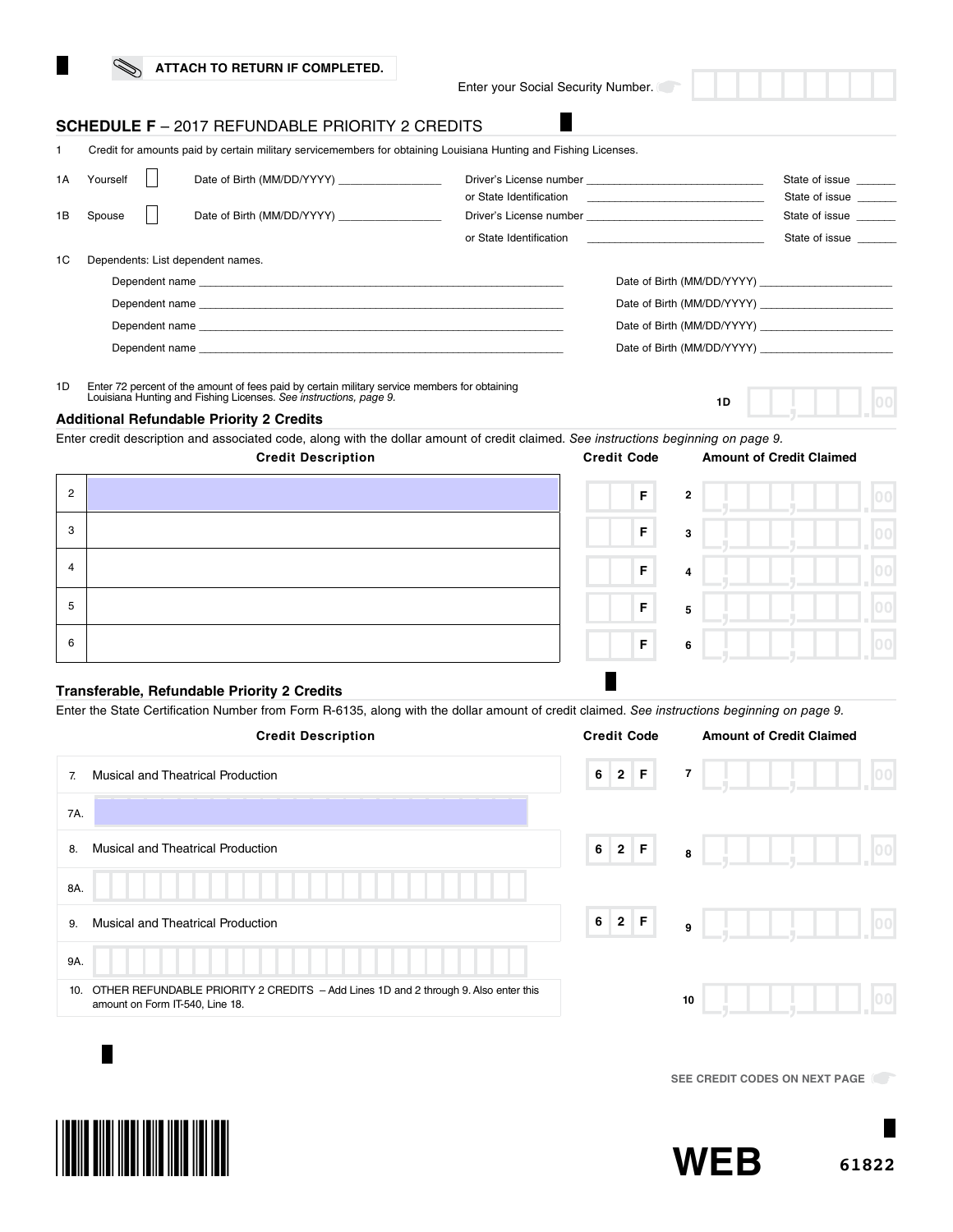Enter your Social Security Number.

г

## **SCHEDULE F** – 2017 REFUNDABLE PRIORITY 2 CREDITS

|    |                                                                                                                                                                                                                               |  |                                                                                                                                                                                                                               | Credit for amounts paid by certain military servicemembers for obtaining Louisiana Hunting and Fishing Licenses. |                                                                            |                                  |
|----|-------------------------------------------------------------------------------------------------------------------------------------------------------------------------------------------------------------------------------|--|-------------------------------------------------------------------------------------------------------------------------------------------------------------------------------------------------------------------------------|------------------------------------------------------------------------------------------------------------------|----------------------------------------------------------------------------|----------------------------------|
| 1A | Yourself                                                                                                                                                                                                                      |  | Date of Birth (MM/DD/YYYY) _________________                                                                                                                                                                                  |                                                                                                                  |                                                                            | State of issue<br>State of issue |
| 1B | Spouse                                                                                                                                                                                                                        |  | Date of Birth (MM/DD/YYYY)                                                                                                                                                                                                    |                                                                                                                  |                                                                            | State of issue                   |
|    |                                                                                                                                                                                                                               |  |                                                                                                                                                                                                                               | or State Identification                                                                                          | the control of the control of the control of the control of the control of | State of issue                   |
| 1C |                                                                                                                                                                                                                               |  | Dependents: List dependent names.                                                                                                                                                                                             |                                                                                                                  |                                                                            |                                  |
|    |                                                                                                                                                                                                                               |  | Dependent name experience and the contract of the contract of the contract of the contract of the contract of the contract of the contract of the contract of the contract of the contract of the contract of the contract of |                                                                                                                  | Date of Birth (MM/DD/YYYY)                                                 |                                  |
|    | Dependent name experience and the contract of the contract of the contract of the contract of the contract of the contract of the contract of the contract of the contract of the contract of the contract of the contract of |  |                                                                                                                                                                                                                               |                                                                                                                  | Date of Birth (MM/DD/YYYY)                                                 |                                  |
|    |                                                                                                                                                                                                                               |  |                                                                                                                                                                                                                               |                                                                                                                  | Date of Birth (MM/DD/YYYY)                                                 |                                  |
|    |                                                                                                                                                                                                                               |  |                                                                                                                                                                                                                               |                                                                                                                  |                                                                            |                                  |
|    |                                                                                                                                                                                                                               |  |                                                                                                                                                                                                                               |                                                                                                                  |                                                                            |                                  |

1D Enter 72 percent of the amount of fees paid by certain military service members for obtaining Louisiana Hunting and Fishing Licenses. *See instructions, page 9.*

### **Additional Refundable Priority 2 Credits**

Enter credit description and associated code, along with the dollar amount of credit claimed. *See instructions beginning on page 9.*

|                | <b>Credit Description</b> | <b>Credit Code</b>                     | <b>Amount of Credit Claimed</b> |              |
|----------------|---------------------------|----------------------------------------|---------------------------------|--------------|
| $\overline{2}$ |                           | $\mathsf F$<br>$\mathbf{2}$            |                                 | 100          |
| 3              |                           | $\mathsf F$<br>3                       |                                 | 00           |
| $\overline{4}$ |                           | $\mathsf F$<br>$\overline{4}$          |                                 | loc          |
| 5              |                           | $\mathsf F$<br>$\overline{\mathbf{5}}$ |                                 |              |
| 6              |                           | $\mathsf F$<br>6                       |                                 | $ 00\rangle$ |

## **Transferable, Refundable Priority 2 Credits**

Enter the State Certification Number from Form R-6135, along with the dollar amount of credit claimed. *See instructions beginning on page 9.*

|     | <b>Credit Description</b>                                                                                              | <b>Credit Code</b> | <b>Amount of Credit Claimed</b> |  |
|-----|------------------------------------------------------------------------------------------------------------------------|--------------------|---------------------------------|--|
| 7.  | <b>Musical and Theatrical Production</b>                                                                               | $6$ 2 F            | $\overline{\mathbf{r}}$         |  |
| 7A. |                                                                                                                        |                    |                                 |  |
| 8.  | <b>Musical and Theatrical Production</b>                                                                               | $6$ 2 F            | $\overline{\mathbf{8}}$         |  |
| 8A. |                                                                                                                        |                    |                                 |  |
| 9.  | <b>Musical and Theatrical Production</b>                                                                               | $6$ 2 F            | $\overline{9}$                  |  |
| 9A. |                                                                                                                        |                    |                                 |  |
| 10. | OTHER REFUNDABLE PRIORITY 2 CREDITS - Add Lines 1D and 2 through 9. Also enter this<br>amount on Form IT-540, Line 18. |                    | 10                              |  |
|     |                                                                                                                        |                    |                                 |  |

**SEE CREDIT CODES ON NEXT PAGE** 





**1D**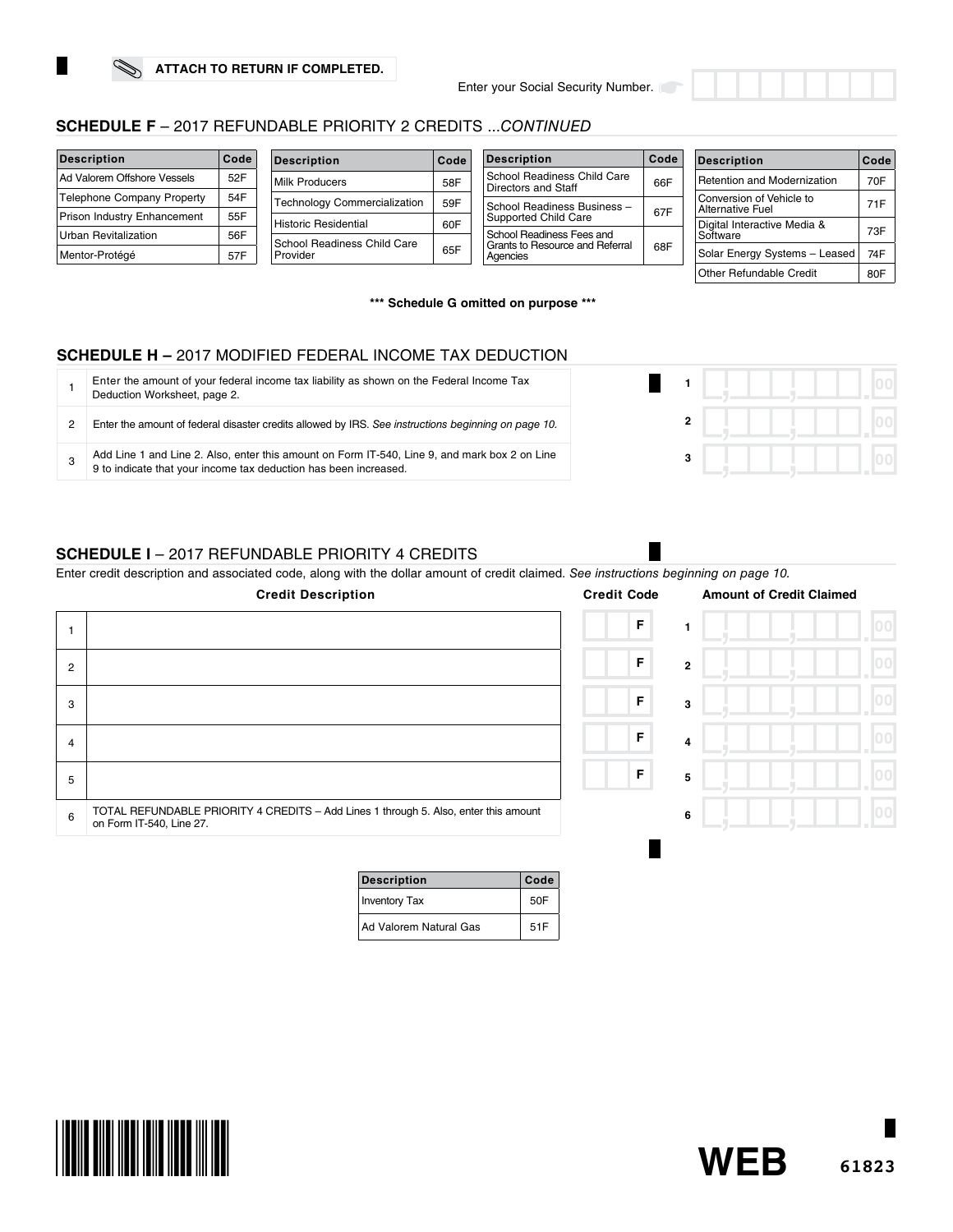

| <b>Description</b>                | Code | <b>Description</b>                  | Code | <b>Description</b>                                        | Code | <b>Description</b>                                     | Code |
|-----------------------------------|------|-------------------------------------|------|-----------------------------------------------------------|------|--------------------------------------------------------|------|
| Ad Valorem Offshore Vessels       | 52F  | Milk Producers                      | 58F  | School Readiness Child Care<br><b>Directors and Staff</b> | 66F  | Retention and Modernization                            | 70F  |
| <b>Telephone Company Property</b> | 54F  | <b>Technology Commercialization</b> | 59F  | School Readiness Business -                               |      | Conversion of Vehicle to                               | 71F  |
| Prison Industry Enhancement       | 55F  | Historic Residential                | 60F  | Supported Child Care                                      | 67F  | <b>Alternative Fuel</b><br>Digital Interactive Media & |      |
| Urban Revitalization              | 56F  | School Readiness Child Care         |      | School Readiness Fees and                                 |      | Software                                               | 73F  |
| Mentor-Protégé                    | 57F  | Provider                            | 65F  | Grants to Resource and Referral<br>Agencies               | 68F  | Solar Energy Systems - Leased                          | 74F  |
|                                   |      |                                     |      |                                                           |      | Other Refundable Credit                                | 80F  |

**\*\*\* Schedule G omitted on purpose \*\*\***

# **SCHEDULE H –** 2017 MODIFIED FEDERAL INCOME TAX DEDUCTION

| Enter the amount of your federal income tax liability as shown on the Federal Income Tax<br>Deduction Worksheet, page 2.                                          |  |  |
|-------------------------------------------------------------------------------------------------------------------------------------------------------------------|--|--|
| Enter the amount of federal disaster credits allowed by IRS. See instructions beginning on page 10.                                                               |  |  |
| Add Line 1 and Line 2. Also, enter this amount on Form IT-540, Line 9, and mark box 2 on Line<br>9 to indicate that your income tax deduction has been increased. |  |  |

# **SCHEDULE I** – 2017 REFUNDABLE PRIORITY 4 CREDITS

Enter credit description and associated code, along with the dollar amount of credit claimed. *See instructions beginning on page 10.*

|                | <b>Credit Description</b>                                                                                        | <b>Credit Code</b> | <b>Amount of Credit Claimed</b> |     |
|----------------|------------------------------------------------------------------------------------------------------------------|--------------------|---------------------------------|-----|
|                |                                                                                                                  | F                  |                                 |     |
| $\overline{2}$ |                                                                                                                  | F                  | $\mathbf{2}$                    |     |
| 3              |                                                                                                                  | F                  | 3                               |     |
| $\overline{4}$ |                                                                                                                  | F                  | 4                               |     |
| 5              |                                                                                                                  | F                  | 5                               |     |
| 6              | TOTAL REFUNDABLE PRIORITY 4 CREDITS - Add Lines 1 through 5. Also, enter this amount<br>on Form IT-540, Line 27. |                    | 6                               | חחו |
|                |                                                                                                                  |                    |                                 |     |

| <b>Description</b>     | Code |
|------------------------|------|
| <b>Inventory Tax</b>   | 50F  |
| Ad Valorem Natural Gas | 51F  |

**61823**

**WEB**

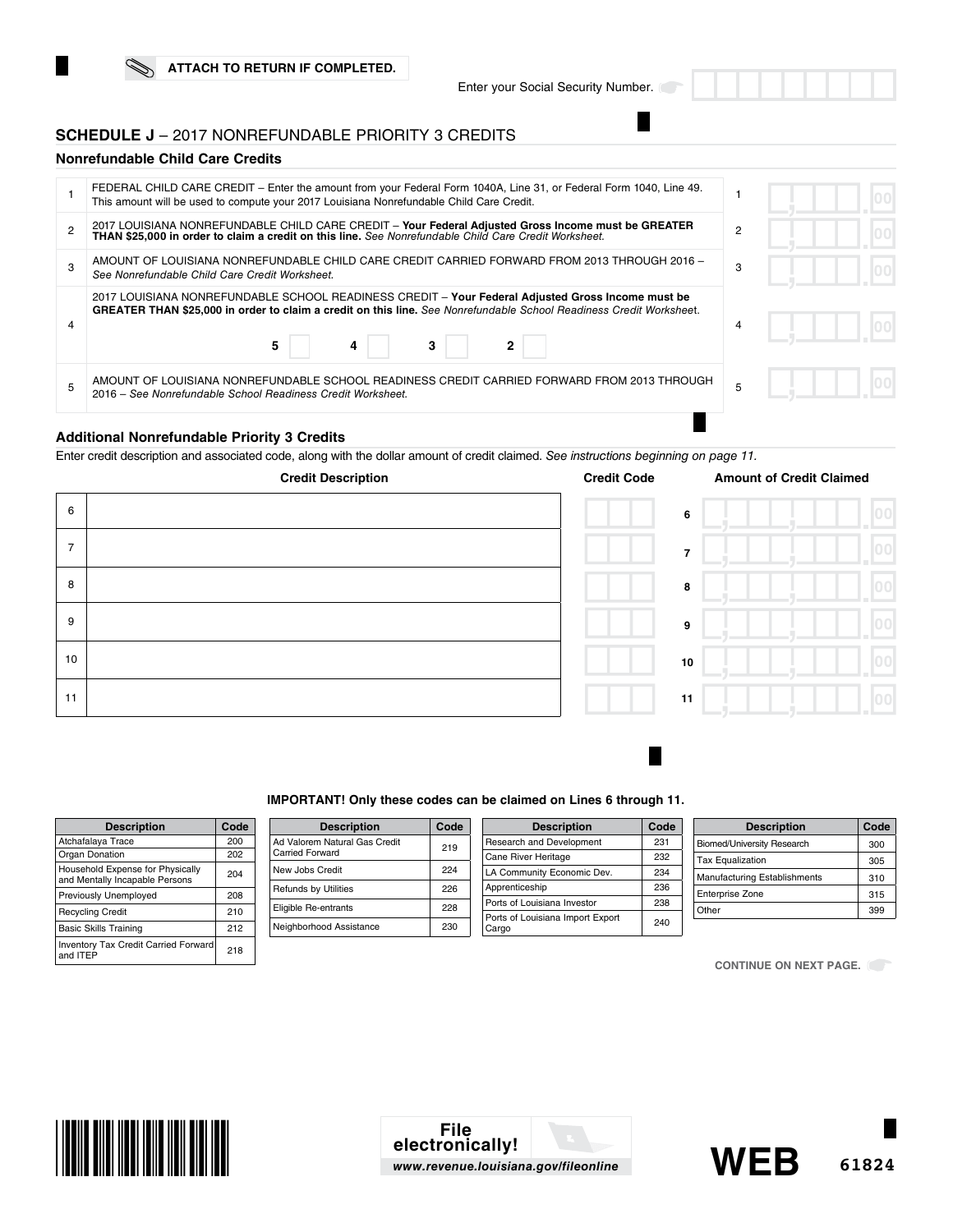## **SCHEDULE J** – 2017 NONREFUNDABLE PRIORITY 3 CREDITS

## **Nonrefundable Child Care Credits**

| FEDERAL CHILD CARE CREDIT – Enter the amount from your Federal Form 1040A, Line 31, or Federal Form 1040, Line 49.<br>This amount will be used to compute your 2017 Louisiana Nonrefundable Child Care Credit.                     |                |  |
|------------------------------------------------------------------------------------------------------------------------------------------------------------------------------------------------------------------------------------|----------------|--|
| 2017 LOUISIANA NONREFUNDABLE CHILD CARE CREDIT - Your Federal Adjusted Gross Income must be GREATER<br>THAN \$25,000 in order to claim a credit on this line. See Nonrefundable Child Care Credit Worksheet.                       | $\overline{2}$ |  |
| AMOUNT OF LOUISIANA NONREFUNDABLE CHILD CARE CREDIT CARRIED FORWARD FROM 2013 THROUGH 2016 -<br>See Nonrefundable Child Care Credit Worksheet.                                                                                     | 3              |  |
| 2017 LOUISIANA NONREFUNDABLE SCHOOL READINESS CREDIT - Your Federal Adjusted Gross Income must be<br>GREATER THAN \$25,000 in order to claim a credit on this line. See Nonrefundable School Readiness Credit Worksheet.<br>5<br>4 | 4              |  |
| AMOUNT OF LOUISIANA NONREFUNDABLE SCHOOL READINESS CREDIT CARRIED FORWARD FROM 2013 THROUGH<br>2016 – See Nonrefundable School Readiness Credit Worksheet.                                                                         |                |  |
|                                                                                                                                                                                                                                    |                |  |

## **Additional Nonrefundable Priority 3 Credits**

Enter credit description and associated code, along with the dollar amount of credit claimed. *See instructions beginning on page 11.* 



#### **IMPORTANT! Only these codes can be claimed on Lines 6 through 11.**

| <b>Description</b>                                                 | Code |
|--------------------------------------------------------------------|------|
| Atchafalaya Trace                                                  | 200  |
| Organ Donation                                                     | 202  |
| Household Expense for Physically<br>and Mentally Incapable Persons | 204  |
| Previously Unemployed                                              | 208  |
| <b>Recycling Credit</b>                                            | 210  |
| <b>Basic Skills Training</b>                                       | 212  |
| <b>Inventory Tax Credit Carried Forward</b><br>and ITFP            | 218  |

| <b>Description</b>                               | Code |
|--------------------------------------------------|------|
| Ad Valorem Natural Gas Credit<br>Carried Forward | 219  |
| New Johs Credit                                  | 224  |
| Refunds by Utilities                             | 226  |
| Eligible Re-entrants                             | 228  |
| Neighborhood Assistance                          | 230  |
|                                                  |      |

| <b>Description</b>               | Code |
|----------------------------------|------|
| Research and Development         | 231  |
| Cane River Heritage              | 232  |
| LA Community Economic Dev.       | 234  |
| Apprenticeship                   | 236  |
| Ports of Louisiana Investor      | 238  |
| Ports of Louisiana Import Export | 240  |

| <b>Description</b>                | Code |
|-----------------------------------|------|
| <b>Biomed/University Research</b> | 300  |
| <b>Tax Equalization</b>           | 305  |
| Manufacturing Establishments      | 310  |
| <b>Enterprise Zone</b>            | 315  |
| Other                             | 399  |

**CONTINUE ON NEXT PAGE.** 



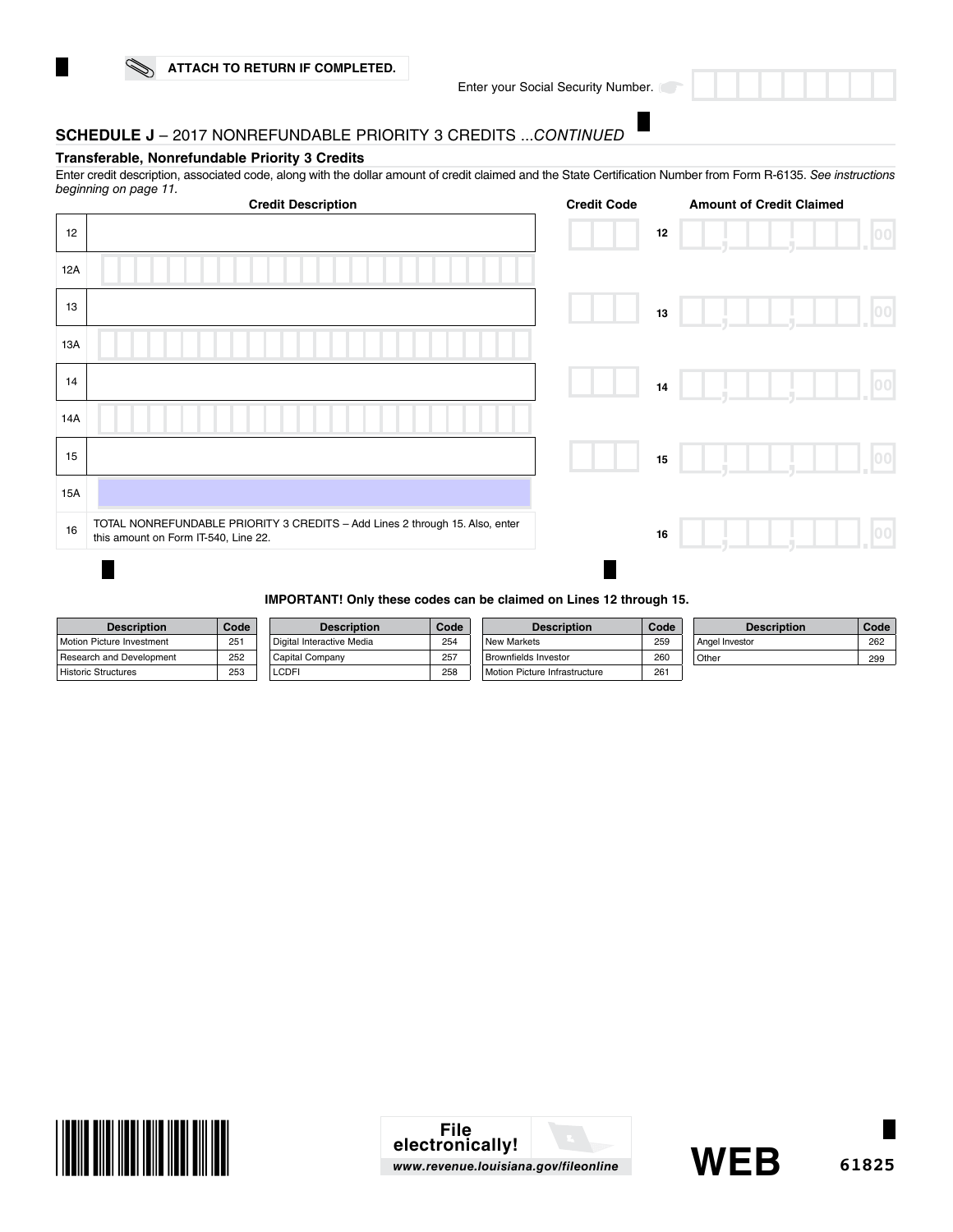Enter your Social Security Number.

# **SCHEDULE J** – 2017 NONREFUNDABLE PRIORITY 3 CREDITS ...*CONTINUED*

## **Transferable, Nonrefundable Priority 3 Credits**

Enter credit description, associated code, along with the dollar amount of credit claimed and the State Certification Number from Form R-6135. *See instructions beginning on page 11.*

|     | <b>Credit Description</b>                                                                                            | <b>Credit Code</b> | <b>Amount of Credit Claimed</b> |    |
|-----|----------------------------------------------------------------------------------------------------------------------|--------------------|---------------------------------|----|
| 12  |                                                                                                                      | 12                 |                                 | 00 |
| 12A |                                                                                                                      |                    |                                 |    |
| 13  |                                                                                                                      | $13\,$             |                                 | 00 |
| 13A |                                                                                                                      |                    |                                 |    |
| 14  |                                                                                                                      | $14\,$             |                                 | 00 |
| 14A |                                                                                                                      |                    |                                 |    |
| 15  |                                                                                                                      | 15                 |                                 | 00 |
| 15A |                                                                                                                      |                    |                                 |    |
| 16  | TOTAL NONREFUNDABLE PRIORITY 3 CREDITS - Add Lines 2 through 15. Also, enter<br>this amount on Form IT-540, Line 22. | 16                 |                                 | 00 |
|     |                                                                                                                      |                    |                                 |    |

#### **IMPORTANT! Only these codes can be claimed on Lines 12 through 15.**

| <b>Description</b>         | Code | <b>Description</b>        | Code | <b>Description</b>            | Code | <b>Description</b> | Code |
|----------------------------|------|---------------------------|------|-------------------------------|------|--------------------|------|
| Motion Picture Investment  | 251  | Digital Interactive Media | 254  | New Markets                   | 259  | Angel Investor     | 262  |
| Research and Development   | 252  | Capital Company           | 257  | Brownfields Investor          | 260  | Other              | 299  |
| <b>Historic Structures</b> | 253  | LCDFI                     | 258  | Motion Picture Infrastructure | 261  |                    |      |



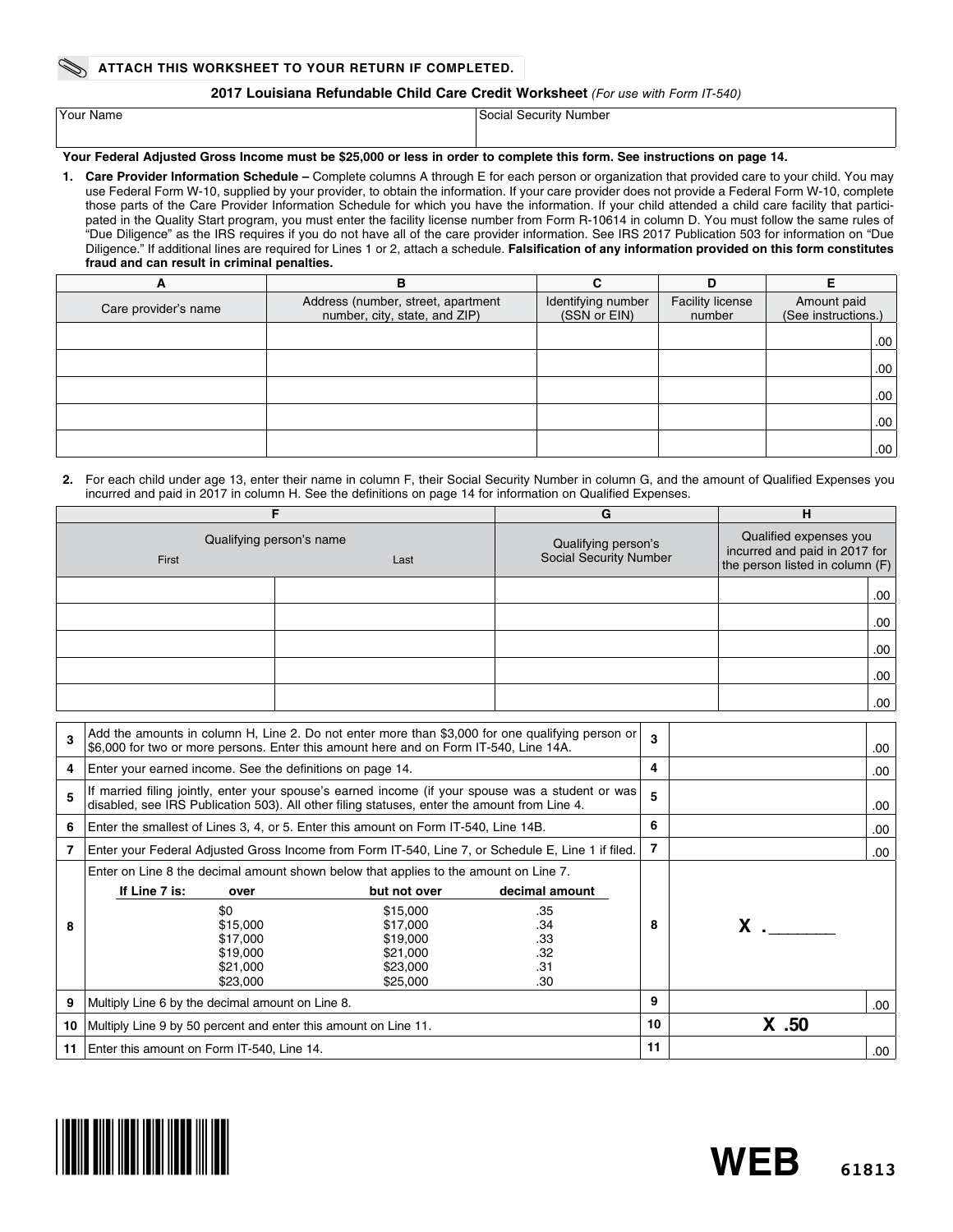#### **2017 Louisiana Refundable Child Care Credit Worksheet** *(For use with Form IT-540)*

| Your Name | Social<br>l Security Number. |
|-----------|------------------------------|
|           |                              |

## **Your Federal Adjusted Gross Income must be \$25,000 or less in order to complete this form. See instructions on page 14.**

**1. Care Provider Information Schedule –** Complete columns A through E for each person or organization that provided care to your child. You may use Federal Form W-10, supplied by your provider, to obtain the information. If your care provider does not provide a Federal Form W-10, complete those parts of the Care Provider Information Schedule for which you have the information. If your child attended a child care facility that participated in the Quality Start program, you must enter the facility license number from Form R-10614 in column D. You must follow the same rules of "Due Diligence" as the IRS requires if you do not have all of the care provider information. See IRS 2017 Publication 503 for information on "Due Diligence." If additional lines are required for Lines 1 or 2, attach a schedule. **Falsification of any information provided on this form constitutes fraud and can result in criminal penalties.**

| A                    | в                                                                   | С                                  | D                                 |                                    |
|----------------------|---------------------------------------------------------------------|------------------------------------|-----------------------------------|------------------------------------|
| Care provider's name | Address (number, street, apartment<br>number, city, state, and ZIP) | Identifying number<br>(SSN or EIN) | <b>Facility license</b><br>number | Amount paid<br>(See instructions.) |
|                      |                                                                     |                                    |                                   | .00 <sub>1</sub>                   |
|                      |                                                                     |                                    |                                   | .00 <sub>1</sub>                   |
|                      |                                                                     |                                    |                                   | .00 <sub>1</sub>                   |
|                      |                                                                     |                                    |                                   | .00 <sub>1</sub>                   |
|                      |                                                                     |                                    |                                   | .00 <sub>1</sub>                   |

#### **2.** For each child under age 13, enter their name in column F, their Social Security Number in column G, and the amount of Qualified Expenses you incurred and paid in 2017 in column H. See the definitions on page 14 for information on Qualified Expenses.

|                                           |  | н<br>G                                        |                                                                                            |  |
|-------------------------------------------|--|-----------------------------------------------|--------------------------------------------------------------------------------------------|--|
| Qualifying person's name<br>First<br>Last |  | Qualifying person's<br>Social Security Number | Qualified expenses you<br>incurred and paid in 2017 for<br>the person listed in column (F) |  |
|                                           |  |                                               | .00.                                                                                       |  |
|                                           |  |                                               | .00.                                                                                       |  |
|                                           |  |                                               | .00.                                                                                       |  |
|                                           |  |                                               | .00.                                                                                       |  |
|                                           |  |                                               | .00                                                                                        |  |

| 3  | Add the amounts in column H, Line 2. Do not enter more than \$3,000 for one qualifying person or<br>\$6,000 for two or more persons. Enter this amount here and on Form IT-540, Line 14A.          |                                                                                                                                                                              |                                                          | $\mathbf{3}$ |                | .00. |
|----|----------------------------------------------------------------------------------------------------------------------------------------------------------------------------------------------------|------------------------------------------------------------------------------------------------------------------------------------------------------------------------------|----------------------------------------------------------|--------------|----------------|------|
| 4  | Enter your earned income. See the definitions on page 14.                                                                                                                                          |                                                                                                                                                                              |                                                          | 4            |                | .00. |
| 5  | If married filing jointly, enter your spouse's earned income (if your spouse was a student or was)<br>disabled, see IRS Publication 503). All other filing statuses, enter the amount from Line 4. |                                                                                                                                                                              |                                                          | 5            |                | .00  |
| 6  | Enter the smallest of Lines 3, 4, or 5. Enter this amount on Form IT-540, Line 14B.                                                                                                                |                                                                                                                                                                              |                                                          | 6            |                | .00  |
|    | Enter your Federal Adjusted Gross Income from Form IT-540, Line 7, or Schedule E, Line 1 if filed.                                                                                                 |                                                                                                                                                                              |                                                          | 7            |                | .00  |
| 8  | If Line 7 is:<br>over<br>\$0<br>\$15,000<br>\$17,000<br>\$19,000<br>\$21,000<br>\$23,000                                                                                                           | Enter on Line 8 the decimal amount shown below that applies to the amount on Line 7.<br>but not over<br>\$15,000<br>\$17,000<br>\$19,000<br>\$21,000<br>\$23,000<br>\$25,000 | decimal amount<br>.35<br>.34<br>.33<br>.32<br>.31<br>.30 | 8            | $\mathsf{X}$ . |      |
| 9  | Multiply Line 6 by the decimal amount on Line 8.                                                                                                                                                   |                                                                                                                                                                              |                                                          | 9            |                | .00  |
| 10 |                                                                                                                                                                                                    | Multiply Line 9 by 50 percent and enter this amount on Line 11.                                                                                                              |                                                          | 10           | $X$ .50        |      |
| 11 | Enter this amount on Form IT-540, Line 14.                                                                                                                                                         |                                                                                                                                                                              |                                                          | 11           |                | .00  |